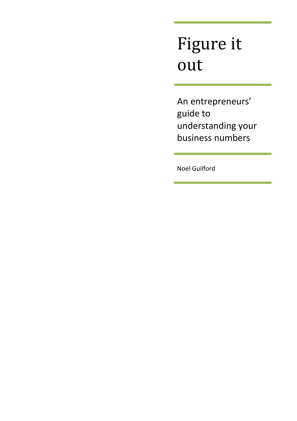# Figure it out

An entrepreneurs' guide to understanding your business numbers

Noel Guilford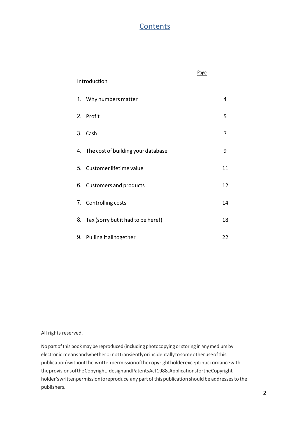## **Contents**

|                                          | Page |  |  |  |  |
|------------------------------------------|------|--|--|--|--|
| Introduction                             |      |  |  |  |  |
| 1. Why numbers matter                    | 4    |  |  |  |  |
| 2.<br>Profit                             | 5    |  |  |  |  |
| 3.<br>Cash                               | 7    |  |  |  |  |
| 4. The cost of building your database    | 9    |  |  |  |  |
| 5. Customer lifetime value               | 11   |  |  |  |  |
| 6. Customers and products                | 12   |  |  |  |  |
| 7. Controlling costs                     | 14   |  |  |  |  |
| Tax (sorry but it had to be here!)<br>8. | 18   |  |  |  |  |
| 9.<br>Pulling it all together            | 22   |  |  |  |  |

All rights reserved.

No part of this book may be reproduced (including photocopying or storing in any medium by electronic means and whether or not transiently or incidentally to some other use of this publication) without the written permission of the copyright holder except in accordance with the provisions of the Copyright, design and Patents Act 1988. Applications for the Copyright holder's written permission to reproduce any part of this publication should be addresses to the publishers.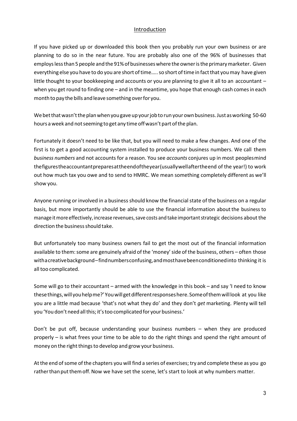#### Introduction

If you have picked up or downloaded this book then you probably run your own business or are planning to do so in the near future. You are probably also one of the 96% of businesses that employs less than 5 people and the 91% of businesses where the owner is the primary marketer. Given everything else you have to do you are short of time….. so short of time in fact that you may have given little thought to your bookkeeping and accounts or you are planning to give it all to an accountant – when you get round to finding one – and in the meantime, you hope that enough cash comes in each month to pay the bills and leave something over for you.

We bet that wasn't the plan when you gave up your job to run your own business. Just as working 50-60 hours a week and not seeming to get any time off wasn't part of the plan.

Fortunately it doesn't need to be like that, but you will need to make a few changes. And one of the first is to get a good accounting system installed to produce your business numbers. We call them *business numbers* and not accounts for a reason. You see *accounts* conjures up in most peoples mind the figures the accountant prepares at the end of the year (usually well after the end of the year!) to work out how much tax you owe and to send to HMRC. We mean something completely different as we'll show you.

Anyone running or involved in a business should know the financial state of the business on a regular basis, but more importantly should be able to use the financial information about the business to manage it more effectively, increase revenues, save costs and take important strategic decisions about the direction the business should take.

But unfortunately too many business owners fail to get the most out of the financial information available to them: some are genuinely afraid of the 'money' side of the business, others – often those with a creative background – find numbers confusing, and most have been conditioned into thinking it is all too complicated.

Some will go to their accountant – armed with the knowledge in this book – and say 'I need to know these things, will you help me?' You will get different responses here. Some of them will look at you like you are a little mad because 'that's not what they do' and they don't *get* marketing. Plenty will tell you 'You don't need all this; it's too complicated for your business.'

Don't be put off, because understanding your business numbers – when they are produced properly – is what frees your time to be able to do the right things and spend the right amount of money on the right things to develop and grow your business.

At the end of some of the chapters you will find a series of exercises; try and complete these as you go rather than put them off. Now we have set the scene, let's start to look at why numbers matter.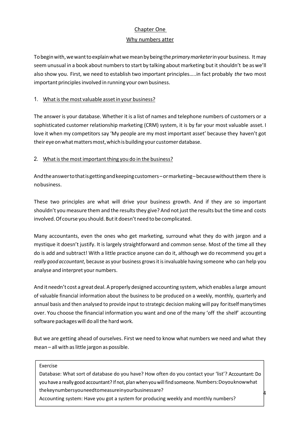#### Chapter One

#### Why numbers atter

To begin with, we want to explain what we mean by being the *primary marketer* in your business. It may seem unusual in a book about numbers to start by talking about marketing but it shouldn't be as we'll also show you. First, we need to establish two important principles…..in fact probably *the* two most important principles involved in running your own business.

#### 1. What is the most valuable asset in your business?

The answer is your database. Whether it is a list of names and telephone numbers of customers or a sophisticated customer relationship marketing (CRM) system, it is by far your most valuable asset. I love it when my competitors say 'My people are my most important asset' because they haven't got their eye on what matters most, which is building your customer database.

#### 2. What is the most important thing you do in the business?

And the answer to that is getting and keeping customers – or marketing – because without them there is no business.

These two principles are what will drive your business growth. And if they are so important shouldn't you measure them and the results they give? And not just the results but the time and costs involved. Of course you should. But it doesn't need to be complicated.

Many accountants, even the ones who get marketing, surround what they do with jargon and a mystique it doesn't justify. It is largely straightforward and common sense. Most of the time all they do is add and subtract! With a little practice anyone can do it, although we do recommend you get a *really good accountant*, because as your business grows it is invaluable having someone who can help you analyse and interpret your numbers.

And it needn't cost a great deal. A properly designed accounting system, which enables a large amount of valuable financial information about the business to be produced on a weekly, monthly, quarterly and annual basis and then analysed to provide input to strategic decision making will pay for itself many times over. You choose the financial information you want and one of the many 'off the shelf' accounting software packages will do all the hard work.

But we are getting ahead of ourselves. First we need to know what numbers we need and what they mean – all with as little jargon as possible.

#### Exercise

Database: What sort of database do you have? How often do you contact your 'list'? Accountant: Do you have a really good accountant? If not, plan when you will find someone. Numbers: Doyou know what the key numbers you need to measure in your business are?

Accounting system: Have you got a system for producing weekly and monthly numbers?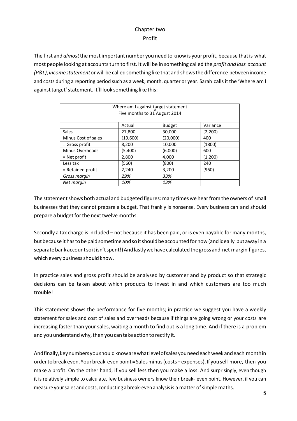## Chapter two Profit

The first and *almost* the most important number you need to know is your profit, because that is what most people looking at accounts turn to first. It will be in something called the *profit and loss account (P&L)*, *income statement* or will be called something like that and shows the difference between income and costs during a reporting period such as a week, month, quarter or year. Sarah calls it the 'Where am I against target' statement. It'll look something like this:

| Where am I against target statement<br>Five months to 31 August 2014 |          |               |          |  |  |
|----------------------------------------------------------------------|----------|---------------|----------|--|--|
|                                                                      |          |               |          |  |  |
|                                                                      | Actual   | <b>Budget</b> | Variance |  |  |
| <b>Sales</b>                                                         | 27,800   | 30,000        | (2,200)  |  |  |
| Minus Cost of sales                                                  | (19,600) | (20,000)      | 400      |  |  |
| $=$ Gross profit                                                     | 8,200    | 10,000        | (1800)   |  |  |
| Minus Overheads                                                      | (5,400)  | (6,000)       | 600      |  |  |
| $=$ Net profit                                                       | 2,800    | 4,000         | (1,200)  |  |  |
| Less tax                                                             | (560)    | (800)         | 240      |  |  |
| $=$ Retained profit                                                  | 2,240    | 3,200         | (960)    |  |  |
| Gross margin                                                         | 29%      | 33%           |          |  |  |
| Net margin                                                           | 10%      | 13%           |          |  |  |

The statement shows both actual and budgeted figures: many times we hear from the owners of small businesses that they cannot prepare a budget. That frankly is nonsense. Every business can and should prepare a budget for the next twelve months.

Secondly a tax charge is included – not because it has been paid, or is even payable for many months, but because it has to be paid sometime and so it should be accounted for now (and ideally put away in a separate bank account so it isn't spent!) And lastly we have calculated the gross and net margin figures, which every business should know.

In practice sales and gross profit should be analysed by customer and by product so that strategic decisions can be taken about which products to invest in and which customers are too much trouble!

This statement shows the performance for five months; in practice we suggest you have a weekly statement for sales and cost of sales and overheads because if things are going wrong or your costs are increasing faster than your sales, waiting a month to find out is a long time. And if there is a problem and you understand why, then you can take action to rectify it.

And finally, key numbers you should know are what level of sales you need each week and each month in order to break even. Your break-even point = Sales minus (costs + expenses). If you sell more, then you make a profit. On the other hand, if you sell less then you make a loss. And surprisingly, even though it is relatively simple to calculate, few business owners know their break- even point. However, if you can measure your sales and costs, conducting a break-even analysis is a matter of simple maths.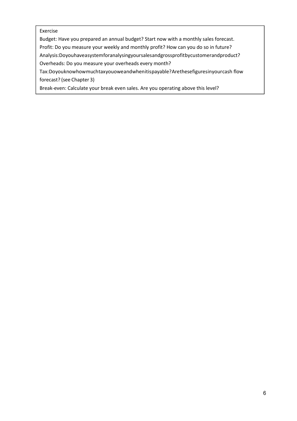#### Exercise

Budget: Have you prepared an annual budget? Start now with a monthly sales forecast.

Profit: Do you measure your weekly and monthly profit? How can you do so in future?

Analysis: Do you have a system for analysing your sales and gross profit by customer and product?

Overheads: Do you measure your overheads every month?

Tax: Doyou know how much tax you owe and when it is payable? A rethese figures in your cash flow forecast? (see Chapter 3)

Break-even: Calculate your break even sales. Are you operating above this level?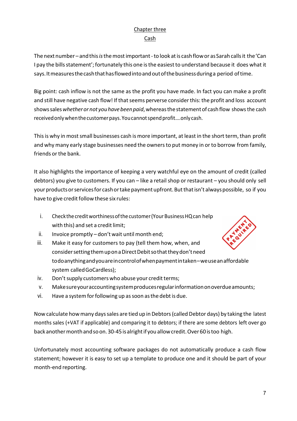## Chapter three Cash

The next number – and this *is* the most important - to look at is cash flow or as Sarah calls it the 'Can I pay the bills statement'; fortunately this one is the easiest to understand because it does what it says. It measures the cash that has flowed into and out of the business during a period of time.

Big point: cash inflow is not the same as the profit you have made. In fact you can make a profit and still have negative cash flow! If that seems perverse consider this: the profit and loss account shows sales *whether or not you have been paid*, whereas the statement of cash flow shows the cash received only when the customer pays. You cannot spend profit….only cash.

This is why in most small businesses cash is more important, at least in the short term, than profit and why many early stage businesses need the owners to put money in or to borrow from family, friends or the bank.

It also highlights the importance of keeping a very watchful eye on the amount of credit (called debtors) you give to customers. If you can – like a retail shop or restaurant – you should only sell your products or services for cash or take payment upfront. But that isn't always possible, so if you have to give credit follow these six rules:

- i. Check the credit worthiness of the customer (Your Business HQ can help with this) and set a credit limit;
- ii. Invoice promptly don't wait until month end;
- iii. Make it easy for customers to pay (tell them how, when, and consider setting them up on a Direct Debit so that they don't need to do anything and you are in control of when payment in taken – we use an affordable system called GoCardless);
- iv. Don't supply customers who abuse your credit terms;
- v. Make sure your accounting system produces regular information on overdue amounts;
- vi. Have a system for following up as soon as the debt is due.

Now calculate how many days sales are tied up in Debtors (called Debtor days) by taking the latest months sales (+VAT if applicable) and comparing it to debtors; if there are some debtors left over go back another month and so on. 30-45 is alright if you allow credit. Over 60 is too high.

Unfortunately most accounting software packages do not automatically produce a cash flow statement; however it is easy to set up a template to produce one and it should be part of your month-end reporting.

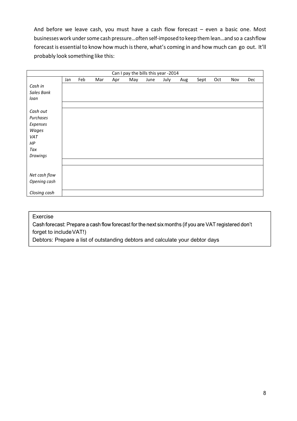And before we leave cash, you must have a cash flow forecast – even a basic one. Most businesses work under some cash pressure…often self-imposed to keep them lean…and so a cash flow forecast is essential to know how much is there, what's coming in and how much can go out. It'll probably look something like this:

|               |     |     |     |     | Can I pay the bills this year -2014 |      |      |     |      |     |     |     |
|---------------|-----|-----|-----|-----|-------------------------------------|------|------|-----|------|-----|-----|-----|
|               | Jan | Feb | Mar | Apr | May                                 | June | July | Aug | Sept | Oct | Nov | Dec |
| Cash in       |     |     |     |     |                                     |      |      |     |      |     |     |     |
| Sales Bank    |     |     |     |     |                                     |      |      |     |      |     |     |     |
| loan          |     |     |     |     |                                     |      |      |     |      |     |     |     |
|               |     |     |     |     |                                     |      |      |     |      |     |     |     |
| Cash out      |     |     |     |     |                                     |      |      |     |      |     |     |     |
| Purchases     |     |     |     |     |                                     |      |      |     |      |     |     |     |
| Expenses      |     |     |     |     |                                     |      |      |     |      |     |     |     |
| Wages         |     |     |     |     |                                     |      |      |     |      |     |     |     |
| VAT           |     |     |     |     |                                     |      |      |     |      |     |     |     |
| HP            |     |     |     |     |                                     |      |      |     |      |     |     |     |
| Tax           |     |     |     |     |                                     |      |      |     |      |     |     |     |
| Drawings      |     |     |     |     |                                     |      |      |     |      |     |     |     |
|               |     |     |     |     |                                     |      |      |     |      |     |     |     |
|               |     |     |     |     |                                     |      |      |     |      |     |     |     |
| Net cash flow |     |     |     |     |                                     |      |      |     |      |     |     |     |
| Opening cash  |     |     |     |     |                                     |      |      |     |      |     |     |     |
|               |     |     |     |     |                                     |      |      |     |      |     |     |     |
| Closing cash  |     |     |     |     |                                     |      |      |     |      |     |     |     |

#### Exercise

Cash forecast: Prepare a cash flow forecast for the next six months (if you are VAT registered don't forget to include VAT!)

Debtors: Prepare a list of outstanding debtors and calculate your debtor days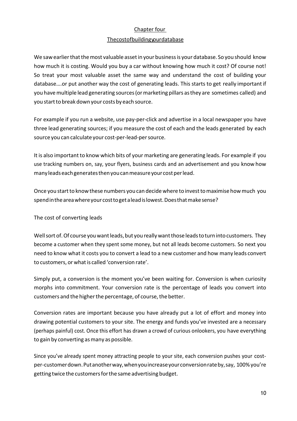#### Chapter four

#### The cost of building your database

We saw earlier that the most valuable asset in your business is your database. So you should know how much it is costing. Would you buy a car without knowing how much it cost? Of course not! So treat your most valuable asset the same way and understand the cost of building your database….or put another way the cost of generating leads. This starts to get really important if you have multiple lead generating sources (or marketing pillars as they are sometimes called) and you start to break down your costs by each source.

For example if you run a website, use pay-per-click and advertise in a local newspaper you have three lead generating sources; if you measure the cost of each and the leads generated by each source you can calculate your cost-per-lead-per source.

It is also important to know which bits of your marketing are generating leads. For example if you use tracking numbers on, say, your flyers, business cards and an advertisement and you know how many leads each generates then you can measure your cost per lead.

Once you start to know these numbers you can decide where to invest to maximise how much you spend in the area where your cost to get a lead is lowest. Does that make sense?

The cost of converting leads

Well sort of. Of course you want leads, but you really want those leads to turn into customers. They become a customer when they spent some money, but not all leads become customers. So next you need to know what it costs you to convert a lead to a new customer and how many leads convert to customers, or what is called 'conversion rate'.

Simply put, a conversion is the moment you've been waiting for. Conversion is when curiosity morphs into commitment. Your conversion rate is the percentage of leads you convert into customers and the higher the percentage, of course, the better.

Conversion rates are important because you have already put a lot of effort and money into drawing potential customers to your site. The energy and funds you've invested are a necessary (perhaps painful) cost. Once this effort has drawn a crowd of curious onlookers, you have everything to gain by converting as many as possible.

Since you've already spent money attracting people to your site, each conversion pushes your costper-customer down. Put another way, when you increase your conversion rate by, say, 100% you're getting twice the customers for the same advertising budget.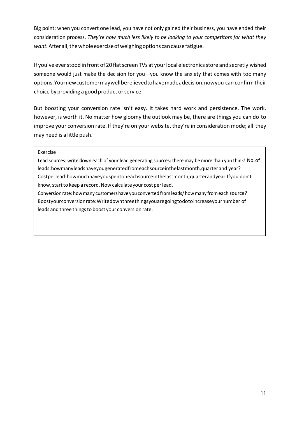Big point: when you convert one lead, you have not only gained their business, you have ended their consideration process. *They're now much less likely to be looking to your competitors for what they want.* After all, the whole exercise of weighing options can cause fatigue.

If you've ever stood in front of 20 flat screen TVs at your local electronics store and secretly wished someone would just make the decision for you—you know the anxiety that comes with too many options. Your new customer may well be relieved to have made a decision; now you can confirm their choice by providing a good product or service.

But boosting your conversion rate isn't easy. It takes hard work and persistence. The work, however, is worth it. No matter how gloomy the outlook may be, there are things you can do to improve your conversion rate. If they're on your website, they're in consideration mode; all they may need is a little push.

#### Exercise

Lead sources: write down each of your lead generating sources: there may be more than you think! No. of leads: how many leads have you generated from each source in the last month, quarter and year? Cost per lead: how much have yous pentone ach source in the last month, quarter and year. If you don't know, start to keep a record. Now calculate your cost per lead.

Conversion rate: how many customers have you converted from leads/how many from each source? Boost your conversion rate: Write down three things you are going to do to increase your number of leads and three things to boost your conversion rate.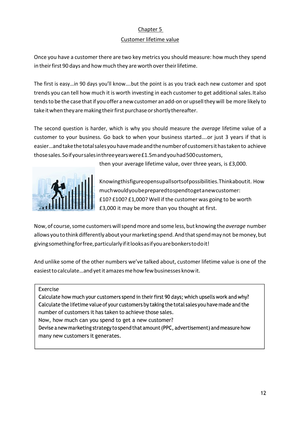#### Chapter 5

#### Customer lifetime value

Once you have a customer there are two key metrics you should measure: how much they spend in their first 90 days and how much they are worth over their lifetime.

The first is easy…in 90 days you'll know….but the point is as you track each new customer and spot trends you can tell how much it is worth investing in each customer to get additional sales. It also tends to be the case that if you offer a new customer an add-on or upsell they will be more likely to take it when they are making their first purchase or shortly thereafter.

The second question is harder, which is why you should measure the *average* lifetime value of a customer to your business*.* Go back to when your business started….or just 3 years if that is easier…and take the total sales you have made and the number of customers it has taken to achieve those sales. So if your sales in three years were £1.5m and you had 500 customers,



then your average lifetime value, over three years, is £3,000.

Knowing this figure opens up all sorts of possibilities. Think about it. How much would you be prepared to spend to get a new customer: £10? £100? £1,000? Well if the customer was going to be worth £3,000 it may be more than you thought at first.

Now, of course, some customers will spend more and some less, but knowing the *average* number allows you to think differently about your marketing spend. And that spend may not be money, but giving something for free, particularly if it looks as if you are bonkers to do it!

And unlike some of the other numbers we've talked about, customer lifetime value is one of the easiest to calculate…and yet it amazes me how few businesses know it.

Exercise

Calculate how much your customers spend in their first 90 days; which upsells work and why? Calculate the lifetime value of your customers by taking the total sales you have made and the number of customers it has taken to achieve those sales.

Now, how much can you spend to get a new customer?

Devise a new marketing strategy to spend that amount (PPC, advertisement) and measure how many new customers it generates.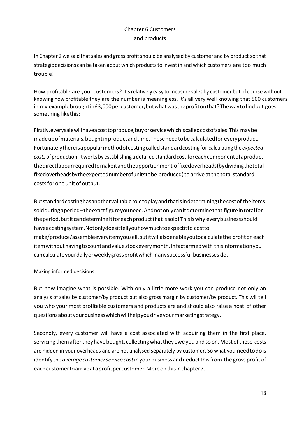## Chapter 6 Customers and products

In Chapter 2 we said that sales and gross profit should be analysed by customer and by product so that strategic decisions can be taken about which products to invest in and which customers are too much trouble!

How profitable are your customers? It's relatively easy to measure sales by customer but of course without knowing how profitable they are the number is meaningless. It's all very well knowing that 500 customers in my example brought in £3,000 per customer, but what was the profit on that? The way to find out goes something like this:

Firstly, every sale will have a cost to produce, buy or service which is called cost of sales. This may be made up of materials, bought in product and time. These need to be calculated for every product. Fortunately there is a popular method of costing called standard costing for calculating the *expected costs* of production. It works by establishing a detailed standard cost for each component of a product, the direct labour required to make it and the apportionment of fixed overheads (by dividing the total fixed overheads by the expected number of units to be produced) to arrive at the total standard costs for one unit of output.

But standard costing has another valuable role to play and that is in determining the cost of the items sold during a period – the exact figure you need. And not only can it determine that figure in total for the period, but it can determine it for each product that is sold! This is why every business should have a costing system. Not only does it tell you how much to expect it to cost to make/produce/assemble every item yousell, but it will also enable you to calculate the profit on each item without having to count and value stock every month. In fact armed with this information you can calculate your daily or weekly gross profit which many successful businesses do.

#### Making informed decisions

But now imagine what is possible. With only a little more work you can produce not only an analysis of sales by customer/by product but also gross margin by customer/by product. This will tell you who your most profitable customers and products are and should also raise a host of other questions about your business which will help you drive your marketing strategy.

Secondly, every customer will have a cost associated with acquiring them in the first place, servicing them after they have bought, collecting what they owe you and so on. Most of these costs are hidden in your overheads and are not analysed separately by customer. So what you need to do is identify the *average customer service cost* in your business and deduct this from the gross profit of each customer to arrive at a profit per customer. More on this in chapter 7.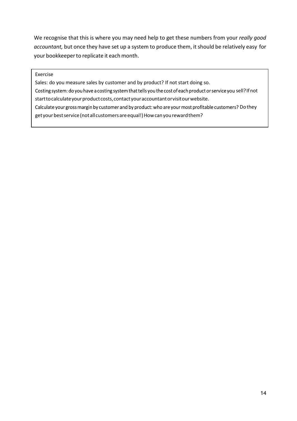We recognise that this is where you may need help to get these numbers from your *really good accountant,* but once they have set up a system to produce them, it should be relatively easy for your bookkeeper to replicate it each month.

#### Exercise

Sales: do you measure sales by customer and by product? If not start doing so. Costing system: do you have a costing system that tells you the cost of each product or service you sell? If not start to calculate your product costs, contact your accountant or visit our website. Calculate your gross margin by customer and by product: who are your most profitable customers? Do they get your best service (not all customers are equal!) How can you reward them?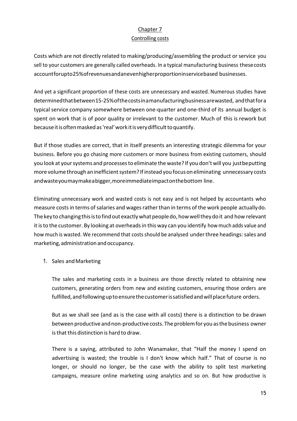## Chapter 7

#### Controlling costs

Costs which are not directly related to making/producing/assembling the product or service you sell to your customers are generally called overheads. In a typical manufacturing business these costs account for up to 25% of revenues and an even higher proportion in service based businesses.

And yet a significant proportion of these costs are unnecessary and wasted. Numerous studies have determined that between 15-25% of the costs in a manufacturing business are wasted, and that for a typical service company somewhere between one-quarter and one-third of its annual budget is spent on work that is of poor quality or irrelevant to the customer. Much of this is rework but because it is often masked as 'real' work it is very difficult to quantify.

But if those studies are correct, that in itself presents an interesting strategic dilemma for your business. Before you go chasing more customers or more business from existing customers, should you look at your systems and processes to eliminate the waste? If you don't will you just be putting more volume through an inefficient system? If instead you focus on eliminating unnecessary costs and waste you may make a bigger, more immediate impact on the bottom line.

Eliminating unnecessary work and wasted costs is not easy and is not helped by accountants who measure costs in terms of salaries and wages rather than in terms of the work people actually do. The key to changing this is to find out exactly what people do, how well they do it and how relevant it is to the customer. By looking at overheads in this way can you identify how much adds value and how much is wasted. We recommend that costs should be analysed under three headings: sales and marketing, administration and occupancy.

#### 1. Sales and Marketing

The sales and marketing costs in a business are those directly related to obtaining new customers, generating orders from new and existing customers, ensuring those orders are fulfilled, and following up to ensure the customer is satisfied and will place future orders.

But as we shall see (and as is the case with all costs) there is a distinction to be drawn between productive and non-productive costs. The problem for you as the business owner is that this distinction is hard to draw.

There is a saying, attributed to John Wanamaker, that "Half the money I spend on advertising is wasted; the trouble is I don't know which half." That of course is no longer, or should no longer, be the case with the ability to split test marketing campaigns, measure online marketing using analytics and so on. But how productive is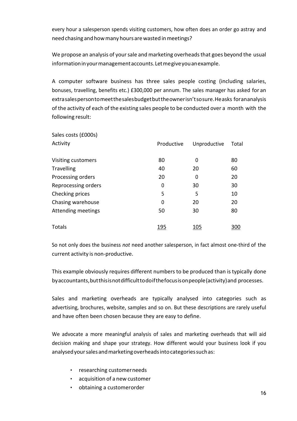every hour a salesperson spends visiting customers, how often does an order go astray and need chasing and how many hours are wasted in meetings?

We propose an analysis of your sale and marketing overheads that goes beyond the usual information in your management accounts. Let me give you an example.

A computer software business has three sales people costing (including salaries, bonuses, travelling, benefits etc.) £300,000 per annum. The sales manager has asked for an extra sales person to meet the sales budget but the owner isn't so sure. He asks for an analysis of the activity of each of the existing sales people to be conducted over a month with the following result:

| Sales costs (£000s) |            |              |       |
|---------------------|------------|--------------|-------|
| Activity            | Productive | Unproductive | Total |
| Visiting customers  | 80         | 0            | 80    |
| <b>Travelling</b>   | 40         | 20           | 60    |
| Processing orders   | 20         | 0            | 20    |
| Reprocessing orders | 0          | 30           | 30    |
| Checking prices     | 5          | 5            | 10    |
| Chasing warehouse   | 0          | 20           | 20    |
| Attending meetings  | 50         | 30           | 80    |
| Totals              | 195        | 105          | 300   |

So not only does the business *not* need another salesperson, in fact almost one-third of the current activity is non-productive.

This example obviously requires different numbers to be produced than is typically done by accountants, but this is not difficult to do if the focus is on people (activity) and processes.

Sales and marketing overheads are typically analysed into categories such as advertising, brochures, website, samples and so on. But these descriptions are rarely useful and have often been chosen because they are easy to define.

We advocate a more meaningful analysis of sales and marketing overheads that will aid decision making and shape your strategy. How different would your business look if you analysed your sales and marketing overheads into categories such as:

- researching customer needs
- acquisition of a new customer
- obtaining a customer order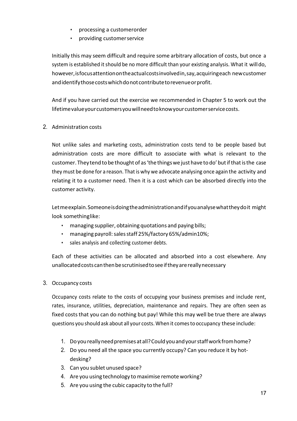- processing a customerorder
- providing customer service

Initially this may seem difficult and require some arbitrary allocation of costs, but once a system is established it should be no more difficult than your existing analysis. What it will do, however, is focus attention on the actual costs involved in, say, acquiring each new customer and identify those costs which do not contribute to revenue or profit.

And if you have carried out the exercise we recommended in Chapter 5 to work out the lifetime value your customers you will need to know your customer service costs.

2. Administration costs

Not unlike sales and marketing costs, administration costs tend to be people based but administration costs are more difficult to associate with what is relevant to the customer. They tend to be thought of as 'the things we just have to do' but if that is the case they must be done for a reason. That is why we advocate analysing once again the activity and relating it to a customer need. Then it is a cost which can be absorbed directly into the customer activity.

Let me explain. Someone is doing the administration and if you analyse what they do it might look something like:

- managing supplier, obtaining quotations and paying bills;
- managing payroll: sales staff 25%/factory 65%/admin10%;
- sales analysis and collecting customer debts.

Each of these activities can be allocated and absorbed into a cost elsewhere. Any unallocated costs can then be scrutinised to see if they are really necessary

3. Occupancy costs

Occupancy costs relate to the costs of occupying your business premises and include rent, rates, insurance, utilities, depreciation, maintenance and repairs. They are often seen as fixed costs that you can do nothing but pay! While this may well be true there are always questions you should ask about all your costs. When it comes to occupancy these include:

- 1. Do you really need premises at all? Could you and your staff work from home?
- 2. Do you need all the space you currently occupy? Can you reduce it by hotdesking?
- 3. Can you sublet unused space?
- 4. Are you using technology to maximise remote working?
- 5. Are you using the cubic capacity to the full?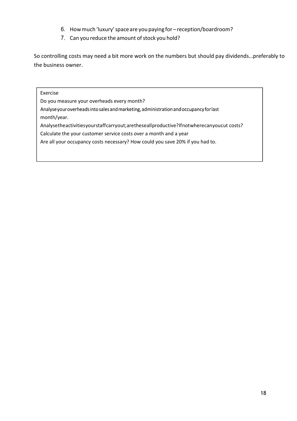- 6. How much 'luxury' space are you paying for reception/boardroom?
- 7. Can you reduce the amount of stock you hold?

So controlling costs may need a bit more work on the numbers but should pay dividends…preferably to the business owner.

#### Exercise

Do you measure your overheads every month?

Analyse your overheads into sales and marketing, administration and occupancy for last

month/year.

Analyse the activities your staff carry out; are these all productive? If not where can you cut costs?

Calculate the your customer service costs over a month and a year

Are all your occupancy costs necessary? How could you save 20% if you had to.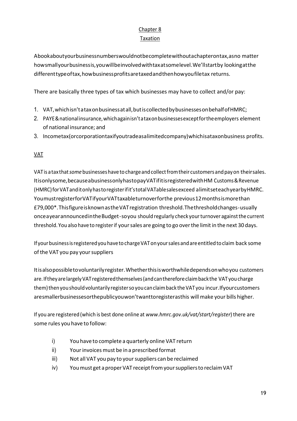## Chapter 8 Taxation

A book about your business numbers would not be complete without a chapter on tax, as no matter how small your business is, you will be involved with tax at some level. We'll start by looking at the different type of tax, how business profits are taxed and then how you file tax returns.

There are basically three types of tax which businesses may have to collect and/or pay:

- 1. VAT, which isn't a tax on business at all, but is collected by businesses on behalf of HMRC;
- 2. PAYE & national insurance, which again isn't a tax on businesses except for the employers element of national insurance; and
- 3. Incometax (or corporation taxifyou trade as a limited company) which is a tax on business profits.

### VAT

VAT is a tax that *some* businesses have to charge and collect from their customers and pay on their sales. It is only some, because a business only has to pay VAT if it is registered with HM Customs & Revenue (HMRC) for VAT and it only has to register if it's total VATable sales exceed a limit set each year by HMRC. You must register for VAT if your VAT taxable turnover for the previous 12 months is more than £79,000\*. This figure is known as the VAT registration threshold. The threshold changes - usually once a year announced in the Budget - so you should regularly check your turnover against the current threshold. You also have to register if your sales are going to go over the limit in the next 30 days.

If your business is registered you have to charge VAT on your sales and are entitled to claim back some of the VAT you pay your suppliers

It is also possible to voluntarily register. Whether this is worthwhile depends on who you customers are. If they are largely VAT registered themselves (and can therefore claim back the VAT you charge them) then you should voluntarily register so you can claim back the VAT you incur. If your customers are smaller businesses or the public you won't want to register as this will make your bills higher.

If you are registered (which is best done online at *www.hmrc.gov.uk/vat/start/register*) there are some rules you have to follow:

- i) You have to complete a quarterly online VAT return
- ii) Your invoices must be in a prescribed format
- iii) Not all VAT you pay to your suppliers can be reclaimed
- iv) You must get a proper VAT receipt from your suppliers to reclaim VAT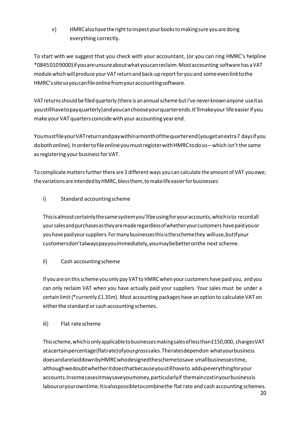v) HMRC also have the right to inspect your books to making sure you are doing everything correctly.

To start with we suggest that you check with your accountant, (or you can ring HMRC's helpline \*0845 010 9000) if you are unsure about what you can reclaim. Most accounting software has a VAT module which will produce your VAT return and back-up report for you and some even link to the HMRC's site so you can file online from your accounting software.

VAT returns should be filed quarterly (there is an annual scheme but I've never known anyone use it as you still have to pay quarterly) and you can choose your quarter ends. It'll make your life easier if you make your VAT quarters coincide with your accounting year end.

You must file your VAT return and pay within a month of the quarter end (you get an extra 7 days if you do both online). In order to file online you must register with HMRC to do so – which isn't the same as registering your business for VAT.

To complicate matters further there are 3 different ways you can calculate the amount of VAT you owe; the variations are intended by HMRC, bless them, to make life easier for businesses:

i) Standard accounting scheme

This is almost certainly the same system you'll be using for your accounts, which is to record all your sales and purchases as they are made regardless of whether your customers have paid you or you have paid your suppliers. For many businesses this is the scheme they will use, but if your customers don't always pay you immediately, you may be better on the next scheme.

ii) Cash accounting scheme

If you are on this scheme you only pay VAT to HMRC when your customers have paid you, and you can only reclaim VAT when you have actually paid your suppliers. Your sales must be under a certain limit (\*currently £1.35m). Most accounting packages have an option to calculate VAT on either the standard or cash accounting schemes.

iii) Flat rate scheme

This scheme, which is only applicable to businesses making sales of less than £150,000, charges VAT at a certain percentage (flat rate) of your *gross* sales. The rates depend on what your business does and are laid down by HMRC who designed the scheme to save small businesses time, although we doubt whether it does that because you still have to add up everything for your accounts. In some cases it may save you money, particularly if the main cost in your business is labour or your own time. It is also possible to combine the flat rate and cash accounting schemes.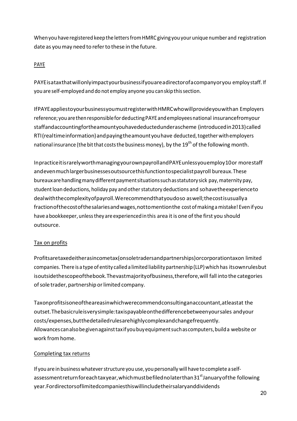When you have registered keep the letters from HMRC giving you your unique number and registration date as you may need to refer to these in the future.

#### PAYE

PAYE is a tax that will only impact your business if you are a director of a company or you employ staff. If you are self-employed and do not employ anyone you can skip this section.

If PAYE applies to your business you must register with HMRC who will provide you with an Employers reference; you are then responsible for deducting PAYE and employees national insurance from your staffand accounting for the amount you have deducted under a scheme (introduced in 2013) called RTI (real time information) and paying the amount you have deducted, together with employers national insurance (the bit that costs the business money), by the 19<sup>th</sup> of the following month.

In practice it is rarely worth managing your own payroll and PAYE unless you employ 10 or more staff and even much larger businesses outsource this function to specialist payroll bureaux. These bureaux are handling many different payment situations such as statutory sick pay, maternity pay, student loan deductions, holiday pay and other statutory deductions and so have the experience to deal with the complexity of payroll. We recommend that you do so as well; the cost is usually a fraction of the cost of the salaries and wages, not to mention the cost of making a mistake! Even if you have a bookkeeper, unless they are experienced in this area it is one of the first you should outsource.

#### Tax on profits

Profits are taxed either as income tax (on sole traders and partnerships) or corporation tax on limited companies. There is a type of entity called a limited liability partnership (LLP) which has its own rules but is outside the scope of the book. The vast majority of business, therefore, will fall into the categories of sole trader, partnership or limited company.

Tax on profits is one of the areas in which we recommend consulting an accountant, at least at the outset. The basic rule is very simple: taxis payable on the difference between your sales and your costs/expenses, but the detailed rules are highly complex and change frequently. Allowances can also be given against tax if you buy equipment such as computers, build a website or work from home.

#### Completing tax returns

If you are in business whatever structure you use, you personally will have to complete a selfassessment return for each tax year, which must be filed no later than 31<sup>st</sup> January of the following year. For directors of limited companies this will include their salary and dividends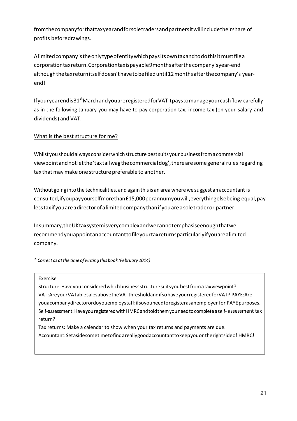from the company for that tax year and for sole traders and partners it will include their share of profits beforedrawings.

A limited company is the only type of entity which pays its own tax and to do this it must file a corporation tax return. Corporation tax is payable 9 months after the company's year-end although the tax return itself doesn't have to be filed until 12 months after the company's yearend!

If your year end is  $31<sup>st</sup>$  March and you are registered for VAT it pays to manage your cash flow carefully as in the following January you may have to pay corporation tax, income tax (on your salary and dividends) and VAT.

#### What is the best structure for me?

Whilst you should always consider which structure best suits your business from a commercial viewpoint and not let the 'tax tail wag the commercial dog', there are some general rules regarding tax that may make one structure preferable to another.

Without going into the technicalities, and again this is an area where we suggest an accountant is consulted, if you pay yourself more than £15,000 per annum you will, every thing else being equal, pay less tax if you are a director of a limited company than if you are a sole trader or partner.

In summary, the UK tax system is very complex and we cannot emphasise enough that we recommend you appoint an accountant to file your tax returns particularly if you are a limited company.

*\* Correct as at the time of writing this book (February 2014)* 

#### Exercise

Structure: Have you considered which business structure suits you best from a tax viewpoint? VAT: Are your VATable sales above the VAT threshold and if so have your registered for VAT? PAYE: Are you a company director or do you employ staff: if so you need to register as an employer for PAYE purposes. Self-assessment: Have you registered with HMRC and told them you need to complete a self-assessment tax return?

Tax returns: Make a calendar to show when your tax returns and payments are due. Accountant: Set aside some time to find a really good accountant to keep you on the right side of HMRC!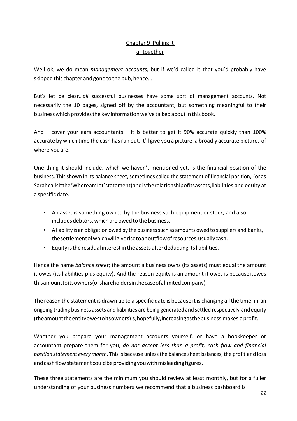## Chapter 9 Pulling it all together

Well ok, we do mean *management accounts,* but if we'd called it that you'd probably have skipped this chapter and gone to the pub, hence…

But's let be clear…*all* successful businesses have some sort of management accounts. Not necessarily the 10 pages, signed off by the accountant, but something meaningful to their business which provides the key information we've talked about in this book.

And  $-$  cover your ears accountants  $-$  it is better to get it 90% accurate quickly than 100% accurate by which time the cash has run out. It'll give you a picture, a broadly accurate picture, of where you are.

One thing it should include, which we haven't mentioned yet, is the financial position of the business. This shown in its balance sheet, sometimes called the statement of financial position, (or as Sarah calls it the 'Where am I at' statement) and is the relationship of its assets, liabilities and equity at a specific date.

- An asset is something owned by the business such equipment or stock, and also includes debtors, which are owed to the business.
- A liability is an obligation owed by the business such as amounts owed to suppliers and banks, the settlement of which will give rise to an outflow of resources, usually cash.
- Equity is the residual interest in the assets after deducting its liabilities.

Hence the name *balance sheet*; the amount a business owns (its assets) must equal the amount it owes (its liabilities plus equity). And the reason equity is an amount it owes is because it owes this amount to its owners (or shareholders in the case of a limited company).

The reason the statement is drawn up to a specific date is because it is changing all the time; in an ongoing trading business assets and liabilities are being generated and settled respectively and equity (the amount the entity owes to its owners) is, hopefully, increasing as the business makes a profit.

Whether you prepare your management accounts yourself, or have a bookkeeper or accountant prepare them for you, *do not accept less than a profit, cash flow and financial position statement every month*. This is because unless the balance sheet balances, the profit and loss and cash flow statement could be providing you with misleading figures.

These three statements are the minimum you should review at least monthly, but for a fuller understanding of your business numbers we recommend that a business dashboard is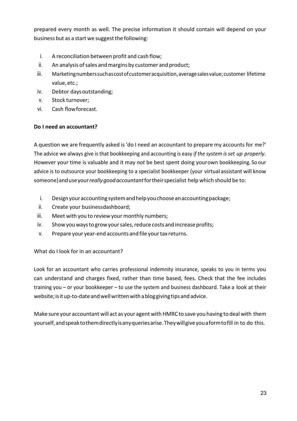prepared every month as well. The precise information it should contain will depend on your business but as a start we suggest the following:

- i. A reconciliation between profit and cash flow;
- ii. An analysis of sales and margins by customer and product;
- iii. Marketing numbers such as cost of customer acquisition, average sales value; customer lifetime value, etc.;
- iv. Debtor days outstanding;
- v. Stock turnover;
- vi. Cash flow forecast.

#### **Do I need an accountant?**

A question we are frequently asked is 'do I need an accountant to prepare my accounts for me?' The advice we always give is that bookkeeping and accounting is easy *if the system is set up properly.*  However your time is valuable and it may *not* be best spent doing your own bookkeeping. So our advice is to outsource your bookkeeping to a specialist bookkeeper (your virtual assistant will know someone) and use your *really good accountant* for their specialist help which should be to:

- i. Design your accounting system and help you choose an accounting package;
- ii. Create your business dashboard;
- iii. Meet with you to review your monthly numbers;
- iv. Show you ways to grow your sales, reduce costs and increase profits;
- v. Prepare your year-end accounts and file your tax returns.

## What do I look for in an accountant?

Look for an accountant who carries professional indemnity insurance, speaks to you in terms you can understand and charges fixed, rather than time based, fees. Check that the fee includes training you – or your bookkeeper – to use the system and business dashboard. Take a look at their website; is it up-to-date and well written with a blog giving tips and advice.

Make sure your accountant will act as your agent with HMRC to save you having to deal with them yourself, and speak to them directly is any queries arise. They will give you a form to fill in to do this.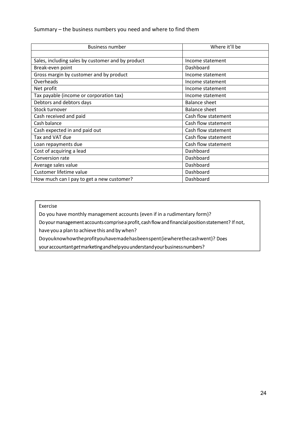#### Summary – the business numbers you need and where to find them

| <b>Business number</b>                            | Where it'll be       |
|---------------------------------------------------|----------------------|
|                                                   |                      |
| Sales, including sales by customer and by product | Income statement     |
| Break-even point                                  | Dashboard            |
| Gross margin by customer and by product           | Income statement     |
| Overheads                                         | Income statement     |
| Net profit                                        | Income statement     |
| Tax payable (income or corporation tax)           | Income statement     |
| Debtors and debtors days                          | <b>Balance sheet</b> |
| Stock turnover                                    | <b>Balance sheet</b> |
| Cash received and paid                            | Cash flow statement  |
| Cash balance                                      | Cash flow statement  |
| Cash expected in and paid out                     | Cash flow statement  |
| Tax and VAT due                                   | Cash flow statement  |
| Loan repayments due                               | Cash flow statement  |
| Cost of acquiring a lead                          | Dashboard            |
| Conversion rate                                   | Dashboard            |
| Average sales value                               | Dashboard            |
| Customer lifetime value                           | Dashboard            |
| How much can I pay to get a new customer?         | Dashboard            |

Exercise

Do you have monthly management accounts (even if in a rudimentary form)?

Do your management accounts comprise a profit, cash flow and financial position statement? If not, have you a plan to achieve this and by when?

Do you know how the profit you have made has been spent (ie where the cash went)? Does

your accountant get marketing and help you understand your business numbers?